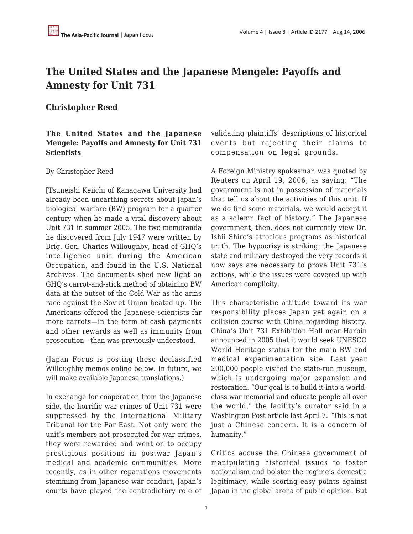## **The United States and the Japanese Mengele: Payoffs and Amnesty for Unit 731**

## **Christopher Reed**

## **The United States and the Japanese Mengele: Payoffs and Amnesty for Unit 731 Scientists**

## By Christopher Reed

[Tsuneishi Keiichi of Kanagawa University had already been unearthing secrets about Japan's biological warfare (BW) program for a quarter century when he made a vital discovery about Unit 731 in summer 2005. The two memoranda he discovered from July 1947 were written by Brig. Gen. Charles Willoughby, head of GHQ's intelligence unit during the American Occupation, and found in the U.S. National Archives. The documents shed new light on GHQ's carrot-and-stick method of obtaining BW data at the outset of the Cold War as the arms race against the Soviet Union heated up. The Americans offered the Japanese scientists far more carrots—in the form of cash payments and other rewards as well as immunity from prosecution—than was previously understood.

(Japan Focus is posting these declassified Willoughby memos online below. In future, we will make available Japanese translations.)

In exchange for cooperation from the Japanese side, the horrific war crimes of Unit 731 were suppressed by the International Military Tribunal for the Far East. Not only were the unit's members not prosecuted for war crimes, they were rewarded and went on to occupy prestigious positions in postwar Japan's medical and academic communities. More recently, as in other reparations movements stemming from Japanese war conduct, Japan's courts have played the contradictory role of validating plaintiffs' descriptions of historical events but rejecting their claims to compensation on legal grounds.

A Foreign Ministry spokesman was quoted by Reuters on April 19, 2006, as saying: "The government is not in possession of materials that tell us about the activities of this unit. If we do find some materials, we would accept it as a solemn fact of history." The Japanese government, then, does not currently view Dr. Ishii Shiro's atrocious programs as historical truth. The hypocrisy is striking: the Japanese state and military destroyed the very records it now says are necessary to prove Unit 731's actions, while the issues were covered up with American complicity.

This characteristic attitude toward its war responsibility places Japan yet again on a collision course with China regarding history. China's Unit 731 Exhibition Hall near Harbin announced in 2005 that it would seek UNESCO World Heritage status for the main BW and medical experimentation site. Last year 200,000 people visited the state-run museum, which is undergoing major expansion and restoration. "Our goal is to build it into a worldclass war memorial and educate people all over the world," the facility's curator said in a Washington Post article last April 7. "This is not just a Chinese concern. It is a concern of humanity."

Critics accuse the Chinese government of manipulating historical issues to foster nationalism and bolster the regime's domestic legitimacy, while scoring easy points against Japan in the global arena of public opinion. But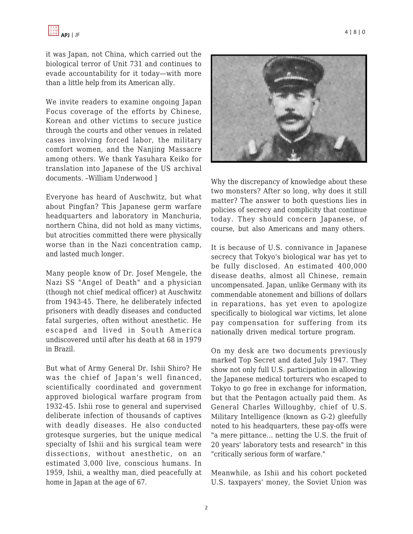it was Japan, not China, which carried out the biological terror of Unit 731 and continues to evade accountability for it today—with more than a little help from its American ally.

We invite readers to examine ongoing Japan Focus coverage of the efforts by Chinese, Korean and other victims to secure justice through the courts and other venues in related cases involving forced labor, the military comfort women, and the Nanjing Massacre among others. We thank Yasuhara Keiko for translation into Japanese of the US archival documents. –William Underwood ]

Everyone has heard of Auschwitz, but what about Pingfan? This Japanese germ warfare headquarters and laboratory in Manchuria, northern China, did not hold as many victims, but atrocities committed there were physically worse than in the Nazi concentration camp, and lasted much longer.

Many people know of Dr. Josef Mengele, the Nazi SS "Angel of Death" and a physician (though not chief medical officer) at Auschwitz from 1943-45. There, he deliberately infected prisoners with deadly diseases and conducted fatal surgeries, often without anesthetic. He escaped and lived in South America undiscovered until after his death at 68 in 1979 in Brazil.

But what of Army General Dr. Ishii Shiro? He was the chief of Japan's well financed, scientifically coordinated and government approved biological warfare program from 1932-45. Ishii rose to general and supervised deliberate infection of thousands of captives with deadly diseases. He also conducted grotesque surgeries, but the unique medical specialty of Ishii and his surgical team were dissections, without anesthetic, on an estimated 3,000 live, conscious humans. In 1959, Ishii, a wealthy man, died peacefully at home in Japan at the age of 67.



Why the discrepancy of knowledge about these two monsters? After so long, why does it still matter? The answer to both questions lies in policies of secrecy and complicity that continue today. They should concern Japanese, of course, but also Americans and many others.

It is because of U.S. connivance in Japanese secrecy that Tokyo's biological war has yet to be fully disclosed. An estimated 400,000 disease deaths, almost all Chinese, remain uncompensated. Japan, unlike Germany with its commendable atonement and billions of dollars in reparations, has yet even to apologize specifically to biological war victims, let alone pay compensation for suffering from its nationally driven medical torture program.

On my desk are two documents previously marked Top Secret and dated July 1947. They show not only full U.S. participation in allowing the Japanese medical torturers who escaped to Tokyo to go free in exchange for information, but that the Pentagon actually paid them. As General Charles Willoughby, chief of U.S. Military Intelligence (known as G-2) gleefully noted to his headquarters, these pay-offs were "a mere pittance... netting the U.S. the fruit of 20 years' laboratory tests and research" in this "critically serious form of warfare."

Meanwhile, as Ishii and his cohort pocketed U.S. taxpayers' money, the Soviet Union was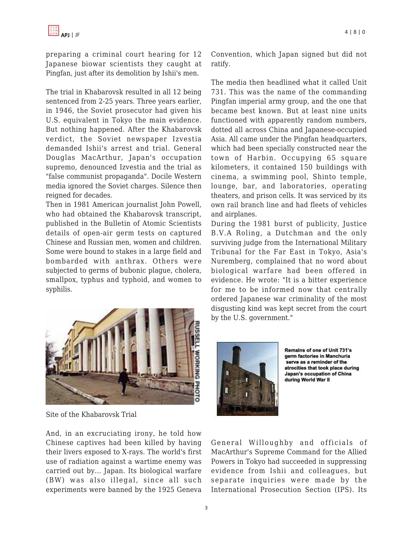preparing a criminal court hearing for 12 Japanese biowar scientists they caught at Pingfan, just after its demolition by Ishii's men.

The trial in Khabarovsk resulted in all 12 being sentenced from 2-25 years. Three years earlier, in 1946, the Soviet prosecutor had given his U.S. equivalent in Tokyo the main evidence. But nothing happened. After the Khabarovsk verdict, the Soviet newspaper Izvestia demanded Ishii's arrest and trial. General Douglas MacArthur, Japan's occupation supremo, denounced Izvestia and the trial as "false communist propaganda". Docile Western media ignored the Soviet charges. Silence then reigned for decades.

Then in 1981 American journalist John Powell, who had obtained the Khabarovsk transcript, published in the Bulletin of Atomic Scientists details of open-air germ tests on captured Chinese and Russian men, women and children. Some were bound to stakes in a large field and bombarded with anthrax. Others were subjected to germs of bubonic plague, cholera, smallpox, typhus and typhoid, and women to syphilis.



The media then headlined what it called Unit 731. This was the name of the commanding Pingfan imperial army group, and the one that became best known. But at least nine units functioned with apparently random numbers, dotted all across China and Japanese-occupied Asia. All came under the Pingfan headquarters, which had been specially constructed near the town of Harbin. Occupying 65 square kilometers, it contained 150 buildings with cinema, a swimming pool, Shinto temple, lounge, bar, and laboratories, operating theaters, and prison cells. It was serviced by its own rail branch line and had fleets of vehicles and airplanes.

During the 1981 burst of publicity, Justice B.V.A Roling, a Dutchman and the only surviving judge from the International Military Tribunal for the Far East in Tokyo, Asia's Nuremberg, complained that no word about biological warfare had been offered in evidence. He wrote: "It is a bitter experience for me to be informed now that centrally ordered Japanese war criminality of the most disgusting kind was kept secret from the court by the U.S. government."



Site of the Khabarovsk Trial

And, in an excruciating irony, he told how Chinese captives had been killed by having their livers exposed to X-rays. The world's first use of radiation against a wartime enemy was carried out by... Japan. Its biological warfare (BW) was also illegal, since all such experiments were banned by the 1925 Geneva



Remains of one of Unit 731's germ factories in Manchuria serve as a reminder of the atrocities that took place during Japan's occupation of China during World War II

General Willoughby and officials of MacArthur's Supreme Command for the Allied Powers in Tokyo had succeeded in suppressing evidence from Ishii and colleagues, but separate inquiries were made by the International Prosecution Section (IPS). Its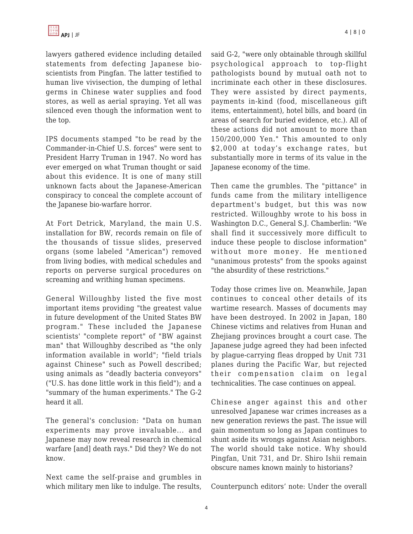lawyers gathered evidence including detailed statements from defecting Japanese bioscientists from Pingfan. The latter testified to human live vivisection, the dumping of lethal germs in Chinese water supplies and food stores, as well as aerial spraying. Yet all was silenced even though the information went to the top.

IPS documents stamped "to be read by the Commander-in-Chief U.S. forces" were sent to President Harry Truman in 1947. No word has ever emerged on what Truman thought or said about this evidence. It is one of many still unknown facts about the Japanese-American conspiracy to conceal the complete account of the Japanese bio-warfare horror.

At Fort Detrick, Maryland, the main U.S. installation for BW, records remain on file of the thousands of tissue slides, preserved organs (some labeled "American") removed from living bodies, with medical schedules and reports on perverse surgical procedures on screaming and writhing human specimens.

General Willoughby listed the five most important items providing "the greatest value in future development of the United States BW program." These included the Japanese scientists' "complete report" of "BW against man" that Willoughby described as "the only information available in world"; "field trials against Chinese" such as Powell described; using animals as "deadly bacteria conveyors" ("U.S. has done little work in this field"); and a "summary of the human experiments." The G-2 heard it all.

The general's conclusion: "Data on human experiments may prove invaluable... and Japanese may now reveal research in chemical warfare [and] death rays." Did they? We do not know.

Next came the self-praise and grumbles in which military men like to indulge. The results, said G-2, "were only obtainable through skillful psychological approach to top-flight pathologists bound by mutual oath not to incriminate each other in these disclosures. They were assisted by direct payments, payments in-kind (food, miscellaneous gift items, entertainment), hotel bills, and board (in areas of search for buried evidence, etc.). All of these actions did not amount to more than 150/200,000 Yen." This amounted to only \$2,000 at today's exchange rates, but substantially more in terms of its value in the Japanese economy of the time.

Then came the grumbles. The "pittance" in funds came from the military intelligence department's budget, but this was now restricted. Willoughby wrote to his boss in Washington D.C., General S.J. Chamberlin: "We shall find it successively more difficult to induce these people to disclose information" without more money. He mentioned "unanimous protests" from the spooks against "the absurdity of these restrictions."

Today those crimes live on. Meanwhile, Japan continues to conceal other details of its wartime research. Masses of documents may have been destroyed. In 2002 in Japan, 180 Chinese victims and relatives from Hunan and Zhejiang provinces brought a court case. The Japanese judge agreed they had been infected by plague-carrying fleas dropped by Unit 731 planes during the Pacific War, but rejected their compensation claim on legal technicalities. The case continues on appeal.

Chinese anger against this and other unresolved Japanese war crimes increases as a new generation reviews the past. The issue will gain momentum so long as Japan continues to shunt aside its wrongs against Asian neighbors. The world should take notice. Why should Pingfan, Unit 731, and Dr. Shiro Ishii remain obscure names known mainly to historians?

Counterpunch editors' note: Under the overall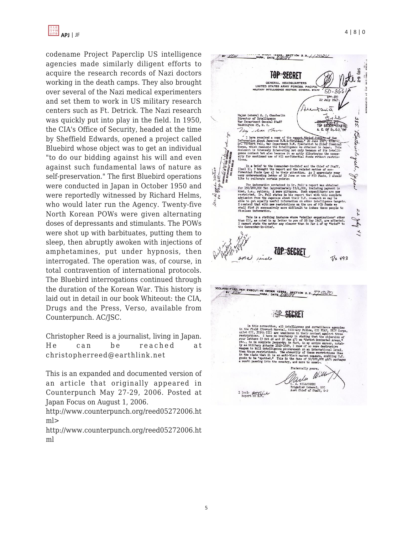

codename Project Paperclip US intelligence agencies made similarly diligent efforts to acquire the research records of Nazi doctors working in the death camps. They also brought over several of the Nazi medical experimenters and set them to work in US military research centers such as Ft. Detrick. The Nazi research was quickly put into play in the field. In 1950, the CIA's Office of Security, headed at the time by Sheffield Edwards, opened a project called Bluebird whose object was to get an individual "to do our bidding against his will and even against such fundamental laws of nature as self-preservation." The first Bluebird operations were conducted in Japan in October 1950 and were reportedly witnessed by Richard Helms, who would later run the Agency. Twenty-five North Korean POWs were given alternating doses of depressants and stimulants. The POWs were shot up with barbituates, putting them to sleep, then abruptly awoken with injections of amphetamines, put under hypnosis, then interrogated. The operation was, of course, in total contravention of international protocols. The Bluebird interrogations continued through the duration of the Korean War. This history is laid out in detail in our book Whiteout: the CIA, Drugs and the Press, Verso, available from Counterpunch. AC/JSC.

Christopher Reed is a journalist, living in Japan. He can be reached at christopherreed@earthlink.net

This is an expanded and documented version of an article that originally appeared in Counterpunch May 27-29, 2006. Posted at Japan Focus on August 1, 2006.

http://www.counterpunch.org/reed05272006.ht ml>

http://www.counterpunch.org/reed05272006.ht ml